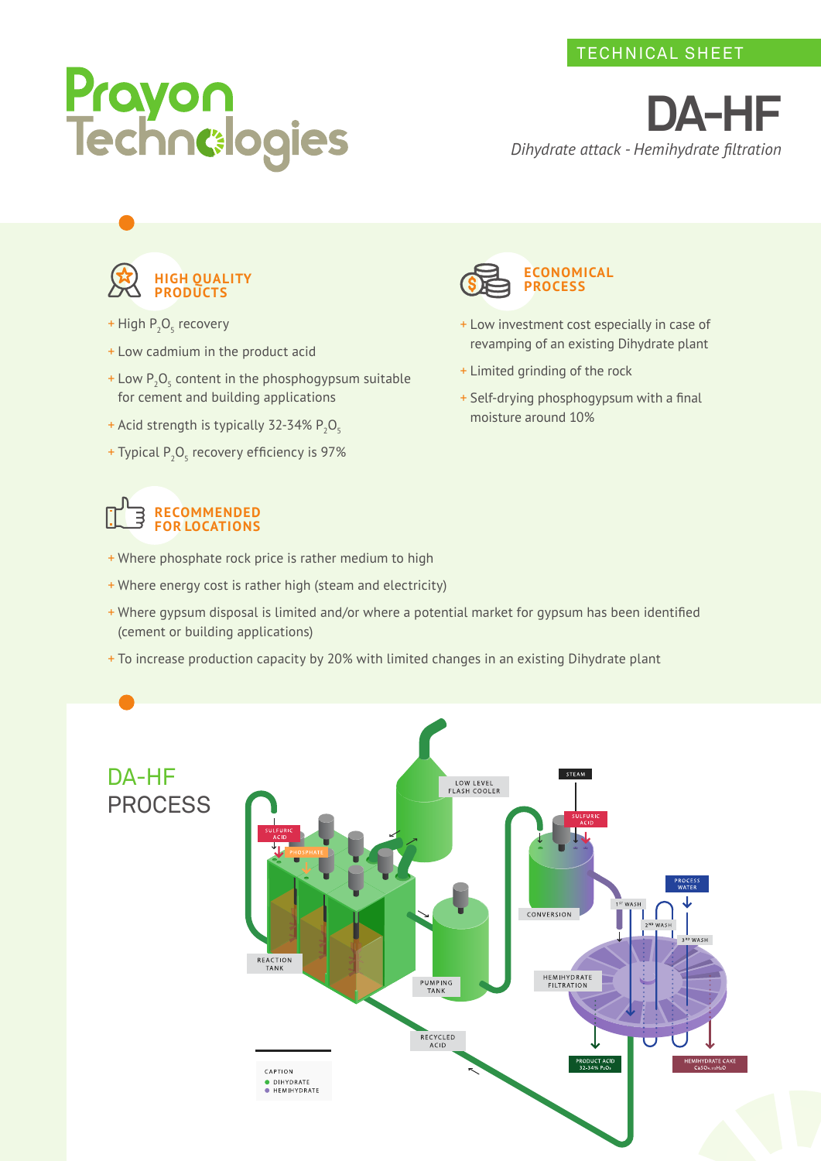# Prayon<br>Technelogies

**DA-HF** *Dihydrate attack - Hemihydrate filtration*



- + High P<sub>2</sub>O<sub>5</sub> recovery
- + Low cadmium in the product acid
- $+$  Low  $P_2O_5$  content in the phosphogypsum suitable for cement and building applications
- + Acid strength is typically 32-34%  $P_2O_5$
- + Typical  $P_2O_5$  recovery efficiency is 97%

### **RECOMMENDED FOR LOCATIONS**

- + Where phosphate rock price is rather medium to high
- + Where energy cost is rather high (steam and electricity)
- + Where gypsum disposal is limited and/or where a potential market for gypsum has been identified (cement or building applications)
- + To increase production capacity by 20% with limited changes in an existing Dihydrate plant





- + Low investment cost especially in case of revamping of an existing Dihydrate plant
- + Limited grinding of the rock
- + Self-drying phosphogypsum with a final moisture around 10%